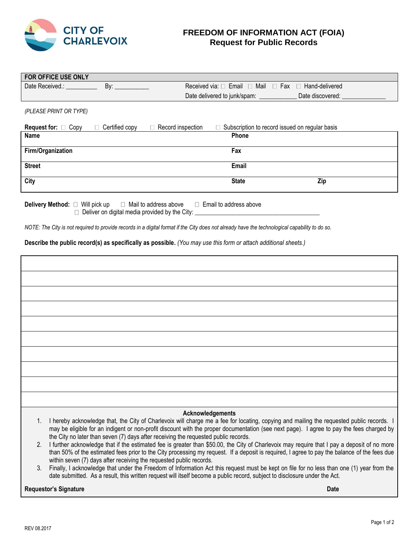

## **FREEDOM OF INFORMATION ACT (FOIA) Request for Public Records**

| FOR OFFICE USE ONLY                                                                                                                                                                                                            |                       |                          |              |                                                                         |
|--------------------------------------------------------------------------------------------------------------------------------------------------------------------------------------------------------------------------------|-----------------------|--------------------------|--------------|-------------------------------------------------------------------------|
| Date Received.: Next and the state of the state of the state of the state of the state of the state of the state of the state of the state of the state of the state of the state of the state of the state of the state of th | By: $\_\_$            |                          |              | Received via: $\Box$ Email $\Box$ Mail $\Box$ Fax $\Box$ Hand-delivered |
|                                                                                                                                                                                                                                |                       |                          |              | Date discovered:                                                        |
| (PLEASE PRINT OR TYPE)                                                                                                                                                                                                         |                       |                          |              |                                                                         |
| <b>Request for:</b> $\Box$ Copy                                                                                                                                                                                                | $\Box$ Certified copy | $\Box$ Record inspection |              | $\Box$ Subscription to record issued on regular basis                   |
| <b>Name</b>                                                                                                                                                                                                                    |                       |                          | Phone        |                                                                         |
| Firm/Organization                                                                                                                                                                                                              |                       |                          | Fax          |                                                                         |
| <b>Street</b>                                                                                                                                                                                                                  |                       |                          | Email        |                                                                         |
| City                                                                                                                                                                                                                           |                       |                          | <b>State</b> | Zip                                                                     |
|                                                                                                                                                                                                                                |                       |                          |              |                                                                         |

**Delivery Method:** □ Will pick up □ Mail to address above □ Email to address above Deliver on digital media provided by the City: \_\_\_\_\_\_\_\_\_\_\_\_\_\_\_\_\_\_\_\_\_\_\_\_\_\_\_\_\_\_\_\_\_

*NOTE: The City is not required to provide records in a digital format if the City does not already have the technological capability to do so.*

**Describe the public record(s) as specifically as possible.** *(You may use this form or attach additional sheets.)*

|                | Acknowledgements                                                                                                                                                                                                                                                                                                                                                            |      |
|----------------|-----------------------------------------------------------------------------------------------------------------------------------------------------------------------------------------------------------------------------------------------------------------------------------------------------------------------------------------------------------------------------|------|
| $1_{\cdot}$    | I hereby acknowledge that, the City of Charlevoix will charge me a fee for locating, copying and mailing the requested public records. I<br>may be eligible for an indigent or non-profit discount with the proper documentation (see next page). I agree to pay the fees charged by<br>the City no later than seven (7) days after receiving the requested public records. |      |
| 2 <sub>1</sub> | I further acknowledge that if the estimated fee is greater than \$50.00, the City of Charlevoix may require that I pay a deposit of no more<br>than 50% of the estimated fees prior to the City processing my request. If a deposit is required, I agree to pay the balance of the fees due<br>within seven (7) days after receiving the requested public records.          |      |
| $\mathcal{S}$  | Finally, I acknowledge that under the Freedom of Information Act this request must be kept on file for no less than one (1) year from the<br>date submitted. As a result, this written request will itself become a public record, subject to disclosure under the Act.                                                                                                     |      |
|                | <b>Requestor's Signature</b>                                                                                                                                                                                                                                                                                                                                                | Date |